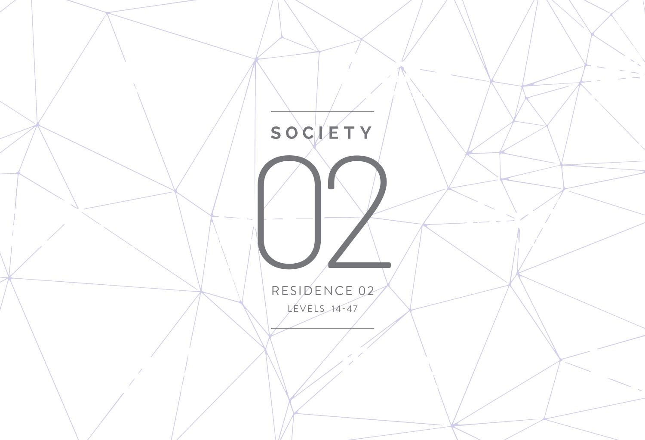